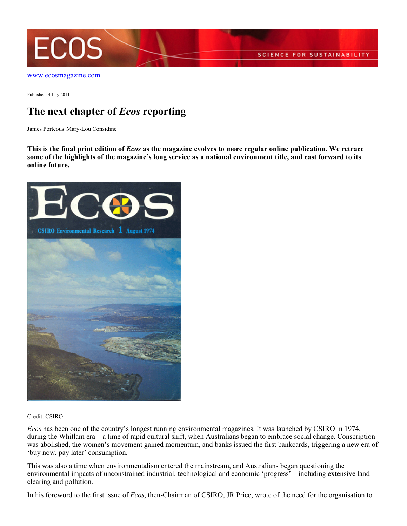

[www.ecosmagazine.com](http://www.ecosmagazine.com)

Published: 4 July 2011

## **The next chapter of** *Ecos* **reporting**

James Porteous Mary-Lou Considine

**This is the final print edition of** *Ecos* **as the magazine evolves to more regular online publication. We retrace some of the highlights of the magazine's long service as a national environment title, and cast forward to its online future.**



Credit: CSIRO

*Ecos* has been one of the country's longest running environmental magazines. It was launched by CSIRO in 1974, during the Whitlam era – a time of rapid cultural shift, when Australians began to embrace social change. Conscription was abolished, the women's movement gained momentum, and banks issued the first bankcards, triggering a new era of 'buy now, pay later' consumption.

This was also a time when environmentalism entered the mainstream, and Australians began questioning the environmental impacts of unconstrained industrial, technological and economic 'progress' – including extensive land clearing and pollution.

In his foreword to the first issue of *Ecos*, then-Chairman of CSIRO, JR Price, wrote of the need for the organisation to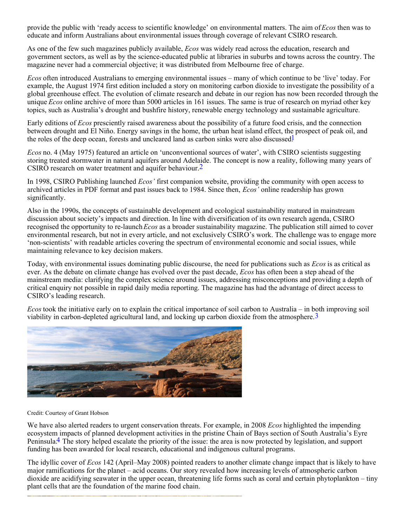provide the public with 'ready access to scientific knowledge' on environmental matters. The aim of *Ecos* then was to educate and inform Australians about environmental issues through coverage of relevant CSIRO research.

As one of the few such magazines publicly available, *Ecos* was widely read across the education, research and government sectors, as well as by the science-educated public at libraries in suburbs and towns across the country. The magazine never had a commercial objective; it was distributed from Melbourne free of charge.

*Ecos* often introduced Australians to emerging environmental issues – many of which continue to be 'live' today. For example, the August 1974 first edition included a story on monitoring carbon dioxide to investigate the possibility of a global greenhouse effect. The evolution of climate research and debate in our region has now been recorded through the unique *Ecos* online archive of more than 5000 articles in 161 issues. The same is true of research on myriad other key topics, such as Australia's drought and bushfire history, renewable energy technology and sustainable agriculture.

Early editions of *Ecos* presciently raised awareness about the possibility of a future food crisis, and the connection between drought and El Niño. Energy savings in the home, the urban heat island effect, the prospect of peak oil, and the roles of the deep ocean, forests and uncleared land as carbon sinks were also discussed.<sup>1</sup>

*Ecos* no. 4 (May 1975) featured an article on 'unconventional sources of water', with CSIRO scientists suggesting storing treated stormwater in natural aquifers around Adelaide. The concept is now a reality, following many years of CSIRO research on water treatment and aquifer behaviour.<sup>2</sup>

In 1998, CSIRO Publishing launched *Ecos'* first companion website, providing the community with open access to archived articles in PDF format and past issues back to 1984. Since then, *Ecos'* online readership has grown significantly.

Also in the 1990s, the concepts of sustainable development and ecological sustainability matured in mainstream discussion about society's impacts and direction. In line with diversification of its own research agenda, CSIRO recognised the opportunity to re-launch *Ecos* as a broader sustainability magazine. The publication still aimed to cover environmental research, but not in every article, and not exclusively CSIRO's work. The challenge was to engage more 'non-scientists' with readable articles covering the spectrum of environmental economic and social issues, while maintaining relevance to key decision makers.

Today, with environmental issues dominating public discourse, the need for publications such as *Ecos* is as critical as ever. As the debate on climate change has evolved over the past decade, *Ecos* has often been a step ahead of the mainstream media: clarifying the complex science around issues, addressing misconceptions and providing a depth of critical enquiry not possible in rapid daily media reporting. The magazine has had the advantage of direct access to CSIRO's leading research.

*Ecos* took the initiative early on to explain the critical importance of soil carbon to Australia – in both improving soil viability in carbon-depleted agricultural land, and locking up carbon dioxide from the atmosphere.<sup>3</sup>



## Credit: Courtesy of Grant Hobson

We have also alerted readers to urgent conservation threats. For example, in 2008 *Ecos* highlighted the impending ecosystem impacts of planned development activities in the pristine Chain of Bays section of South Australia's Eyre Peninsula.4 The story helped escalate the priority of the issue: the area is now protected by legislation, and support funding has been awarded for local research, educational and indigenous cultural programs.

The idyllic cover of *Ecos* 142 (April–May 2008) pointed readers to another climate change impact that is likely to have major ramifications for the planet – acid oceans. Our story revealed how increasing levels of atmospheric carbon dioxide are acidifying seawater in the upper ocean, threatening life forms such as coral and certain phytoplankton – tiny plant cells that are the foundation of the marine food chain.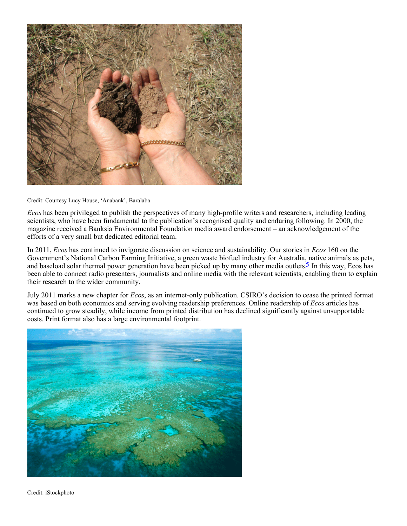

Credit: Courtesy Lucy House, 'Anabank', Baralaba

*Ecos* has been privileged to publish the perspectives of many high-profile writers and researchers, including leading scientists, who have been fundamental to the publication's recognised quality and enduring following. In 2000, the magazine received a Banksia Environmental Foundation media award endorsement – an acknowledgement of the efforts of a very small but dedicated editorial team.

In 2011, *Ecos* has continued to invigorate discussion on science and sustainability. Our stories in *Ecos* 160 on the Government's National Carbon Farming Initiative, a green waste biofuel industry for Australia, native animals as pets, and baseload solar thermal power generation have been picked up by many other media outlets.<sup>5</sup> In this way, Ecos has been able to connect radio presenters, journalists and online media with the relevant scientists, enabling them to explain their research to the wider community.

July 2011 marks a new chapter for *Ecos*, as an internet-only publication. CSIRO's decision to cease the printed format was based on both economics and serving evolving readership preferences. Online readership of *Ecos* articles has continued to grow steadily, while income from printed distribution has declined significantly against unsupportable costs. Print format also has a large environmental footprint.



Credit: iStockphoto